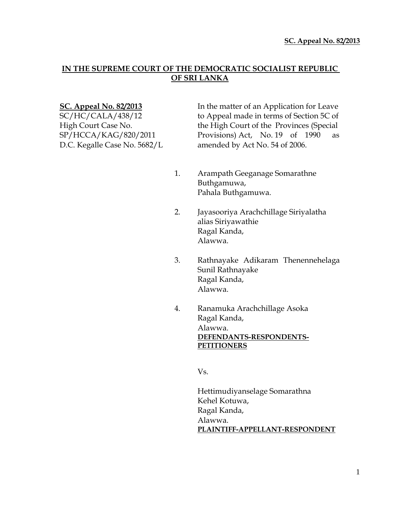# **IN THE SUPREME COURT OF THE DEMOCRATIC SOCIALIST REPUBLIC OF SRI LANKA**

**SC. Appeal No. 82/2013** In the matter of an Application for Leave SC/HC/CALA/438/12 to Appeal made in terms of Section 5C of High Court Case No. the High Court of the Provinces (Special SP/HCCA/KAG/820/2011 Provisions) Act, No. 19 of 1990 as D.C. Kegalle Case No. 5682/L amended by Act No. 54 of 2006.

- 1. Arampath Geeganage Somarathne Buthgamuwa, Pahala Buthgamuwa.
- 2. Jayasooriya Arachchillage Siriyalatha alias Siriyawathie Ragal Kanda, Alawwa.
- 3. Rathnayake Adikaram Thenennehelaga Sunil Rathnayake Ragal Kanda, Alawwa.
- 4. Ranamuka Arachchillage Asoka Ragal Kanda, Alawwa. **DEFENDANTS-RESPONDENTS-PETITIONERS**

Vs.

Hettimudiyanselage Somarathna Kehel Kotuwa, Ragal Kanda, Alawwa. **PLAINTIFF-APPELLANT-RESPONDENT**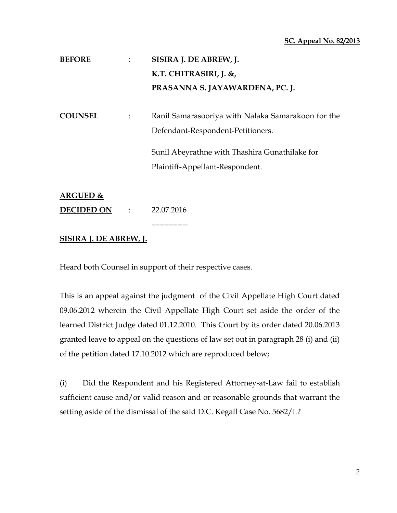### **SC. Appeal No. 82/2013**

| <b>BEFORE</b>  |                      | SISIRA J. DE ABREW, J.                                                                  |
|----------------|----------------------|-----------------------------------------------------------------------------------------|
|                |                      | K.T. CHITRASIRI, J. &,                                                                  |
|                |                      | PRASANNA S. JAYAWARDENA, PC. J.                                                         |
| <b>COUNSEL</b> | $\ddot{\phantom{a}}$ | Ranil Samarasooriya with Nalaka Samarakoon for the<br>Defendant-Respondent-Petitioners. |
|                |                      | Sunil Abeyrathne with Thashira Gunathilake for                                          |
|                |                      | Plaintiff-Appellant-Respondent.                                                         |
| ARGUED &       |                      |                                                                                         |

**DECIDED ON** : 22.07.2016

# **SISIRA J. DE ABREW, J.**

Heard both Counsel in support of their respective cases.

--------------

This is an appeal against the judgment of the Civil Appellate High Court dated 09.06.2012 wherein the Civil Appellate High Court set aside the order of the learned District Judge dated 01.12.2010. This Court by its order dated 20.06.2013 granted leave to appeal on the questions of law set out in paragraph 28 (i) and (ii) of the petition dated 17.10.2012 which are reproduced below;

(i) Did the Respondent and his Registered Attorney-at-Law fail to establish sufficient cause and/or valid reason and or reasonable grounds that warrant the setting aside of the dismissal of the said D.C. Kegall Case No. 5682/L?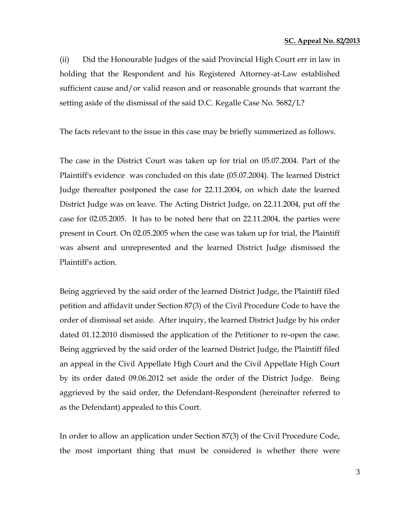#### **SC. Appeal No. 82/2013**

(ii) Did the Honourable Judges of the said Provincial High Court err in law in holding that the Respondent and his Registered Attorney-at-Law established sufficient cause and/or valid reason and or reasonable grounds that warrant the setting aside of the dismissal of the said D.C. Kegalle Case No. 5682/L?

The facts relevant to the issue in this case may be briefly summerized as follows.

The case in the District Court was taken up for trial on 05.07.2004. Part of the Plaintiff's evidence was concluded on this date (05.07.2004). The learned District Judge thereafter postponed the case for 22.11.2004, on which date the learned District Judge was on leave. The Acting District Judge, on 22.11.2004, put off the case for 02.05.2005. It has to be noted here that on 22.11.2004, the parties were present in Court. On 02.05.2005 when the case was taken up for trial, the Plaintiff was absent and unrepresented and the learned District Judge dismissed the Plaintiff's action.

Being aggrieved by the said order of the learned District Judge, the Plaintiff filed petition and affidavit under Section 87(3) of the Civil Procedure Code to have the order of dismissal set aside. After inquiry, the learned District Judge by his order dated 01.12.2010 dismissed the application of the Petitioner to re-open the case. Being aggrieved by the said order of the learned District Judge, the Plaintiff filed an appeal in the Civil Appellate High Court and the Civil Appellate High Court by its order dated 09.06.2012 set aside the order of the District Judge. Being aggrieved by the said order, the Defendant-Respondent (hereinafter referred to as the Defendant) appealed to this Court.

In order to allow an application under Section 87(3) of the Civil Procedure Code, the most important thing that must be considered is whether there were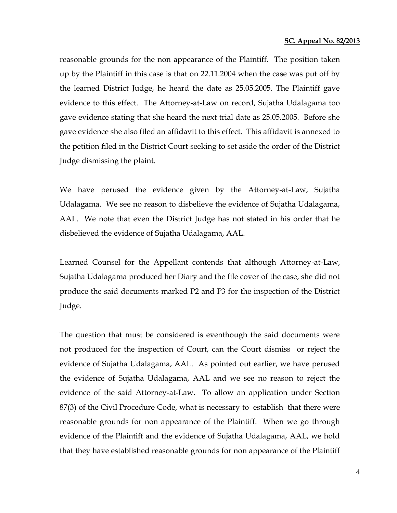reasonable grounds for the non appearance of the Plaintiff. The position taken up by the Plaintiff in this case is that on 22.11.2004 when the case was put off by the learned District Judge, he heard the date as 25.05.2005. The Plaintiff gave evidence to this effect. The Attorney-at-Law on record, Sujatha Udalagama too gave evidence stating that she heard the next trial date as 25.05.2005. Before she gave evidence she also filed an affidavit to this effect. This affidavit is annexed to the petition filed in the District Court seeking to set aside the order of the District Judge dismissing the plaint.

We have perused the evidence given by the Attorney-at-Law, Sujatha Udalagama. We see no reason to disbelieve the evidence of Sujatha Udalagama, AAL. We note that even the District Judge has not stated in his order that he disbelieved the evidence of Sujatha Udalagama, AAL.

Learned Counsel for the Appellant contends that although Attorney-at-Law, Sujatha Udalagama produced her Diary and the file cover of the case, she did not produce the said documents marked P2 and P3 for the inspection of the District Judge.

The question that must be considered is eventhough the said documents were not produced for the inspection of Court, can the Court dismiss or reject the evidence of Sujatha Udalagama, AAL. As pointed out earlier, we have perused the evidence of Sujatha Udalagama, AAL and we see no reason to reject the evidence of the said Attorney-at-Law. To allow an application under Section 87(3) of the Civil Procedure Code, what is necessary to establish that there were reasonable grounds for non appearance of the Plaintiff. When we go through evidence of the Plaintiff and the evidence of Sujatha Udalagama, AAL, we hold that they have established reasonable grounds for non appearance of the Plaintiff